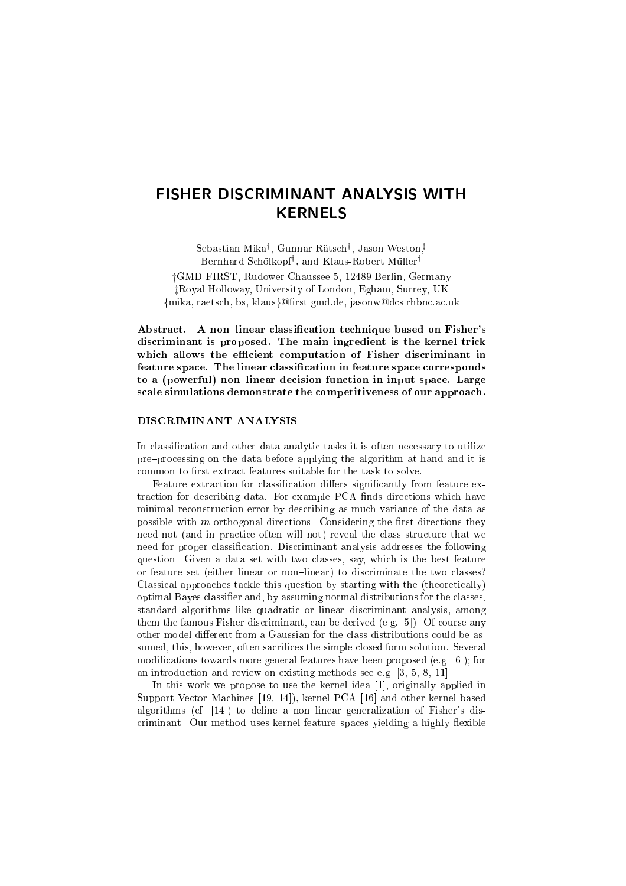# FISHER DISCRIMINANT ANALYSIS WITH KERNELS

Sebastian Mika', Gunnar Ratsch', Jason Weston,z Bernhard Scholkopfy, and Klaus-Robert Mullery

yGMD FIRST, Rudower Chaussee 5, 12489 Berlin, Germany zRoyal Holloway, University of London, Egham, Surrey, UK {mika, raetsch, bs, klaus}@first.gmd.de, jasonw@dcs.rhbnc.ac.uk

Abstract. A non-linear classification technique based on Fisher's discriminant is proposed. The main ingredient is the kernel trick which allows the efficient computation of Fisher discriminant in feature space. The linear classification in feature space corresponds to a (powerful) non-linear decision function in input space. Large s
ale simulations demonstrate the ompetitiveness of our approa
h.

## DISCRIMINANT ANALYSIS

In classification and other data analytic tasks it is often necessary to utilize pre-processing on the data before applying the algorithm at hand and it is common to first extract features suitable for the task to solve.

Feature extraction for classification differs significantly from feature extraction for describing data. For example PCA finds directions which have minimal re
onstru
tion error by des
ribing as mu
h varian
e of the data as possible with  $m$  orthogonal directions. Considering the first directions they need not (and in practice often will not) reveal the class structure that we need for proper classification. Discriminant analysis addresses the following question: Given a data set with two lasses, say, whi
h is the best feature or feature set (either linear or non-linear) to discriminate the two classes? Classical approaches tackle this question by starting with the (theoretically) optimal Bayes lassier and, by assuming normal distributions for the lasses, standard algorithms like quadrati or linear dis
riminant analysis, among them the famous Fisher discriminant, can be derived (e.g.  $[5]$ ). Of course any other model different from a Gaussian for the class distributions could be assumed, this, however, often sacrifices the simple closed form solution. Several modifications towards more general features have been proposed (e.g. [6]); for an introduction and review on existing methods see e.g.  $[3, 5, 8, 11]$ .

In this work we propose to use the kernel idea  $[1]$ , originally applied in Support Vector Machines [19, 14]), kernel PCA [16] and other kernel based algorithms (cf. [14]) to define a non-linear generalization of Fisher's discriminant. Our method uses kernel feature spaces yielding a highly flexible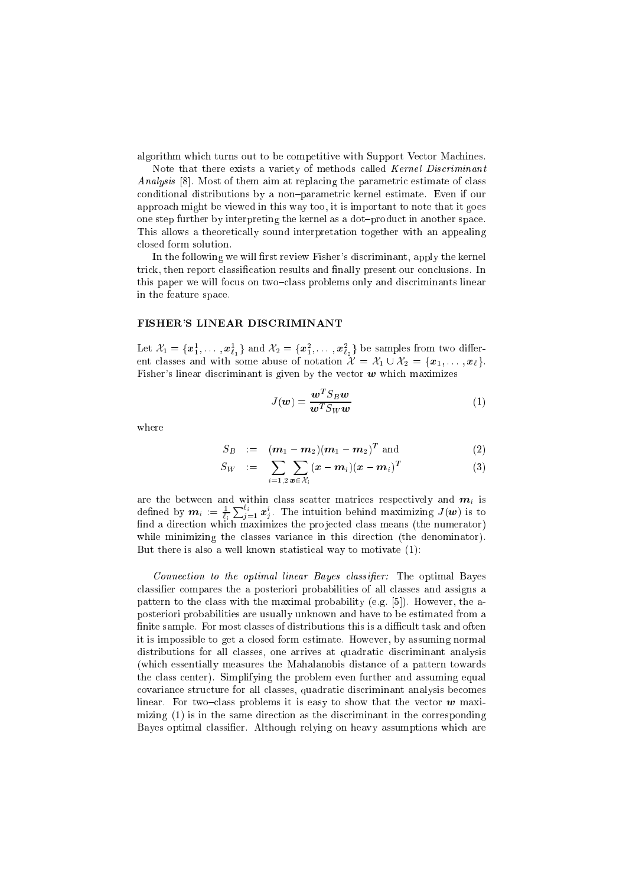algorithm which turns out to be competitive with Support Vector Machines.

Note that there exists a variety of methods called Kernel Discriminant Analysis [8]. Most of them aim at replacing the parametric estimate of class conditional distributions by a non-parametric kernel estimate. Even if our approach might be viewed in this way too, it is important to note that it goes one step further by interpreting the kernel as a dot-product in another space. This allows a theoretically sound interpretation together with an appealing closed form solution.

In the following we will first review Fisher's discriminant, apply the kernel trick, then report classification results and finally present our conclusions. In this paper we will focus on two-class problems only and discriminants linear in the feature space.

## FISHER'S LINEAR DISCRIMINANT

Let  $\mathcal{X}_1 = {\mathbf{x}_1^1, \dots, \mathbf{x}_{\ell_1}^1}$  and  $\mathcal{X}_2 = {\mathbf{x}_1^2, \dots, \mathbf{x}_{\ell_2}^2}$  be samples from two different classes and with some abuse of notation  $\mathcal{X} = \mathcal{X}_1 \cup \mathcal{X}_2 = \{x_1, \ldots, x_\ell\}.$ Fisher's linear discriminant is given by the vector  $w$  which maximizes

$$
J(w) = \frac{w^T S_B w}{w^T S_W w} \tag{1}
$$

where

$$
S_B := (m_1 - m_2)(m_1 - m_2)^T \text{ and } (2)
$$

$$
S_W \quad := \quad \sum_{i=1,2} \sum_{\bm{x} \in \mathcal{X}_i} (\bm{x} - \bm{m}_i)(\bm{x} - \bm{m}_i)^T \tag{3}
$$

are the between and within class scatter matrices respectively and  $m_i$  is defined by  $m_i := \frac{1}{\ell_i} \sum_{j=1}^{\ell_i} x_j^i$ . The intuition behind maximizing  $J(w)$  is to find a direction which maximizes the projected class means (the numerator) while minimizing the classes variance in this direction (the denominator). But there is also a well known statistical way to motivate  $(1)$ :

Connection to the optimal linear Bayes classifier: The optimal Bayes classifier compares the a posteriori probabilities of all classes and assigns a pattern to the class with the maximal probability (e.g.  $[5]$ ). However, the aposteriori probabilities are usually unknown and have to be estimated from a finite sample. For most classes of distributions this is a difficult task and often it is impossible to get a closed form estimate. However, by assuming normal distributions for all classes, one arrives at quadratic discriminant analysis (which essentially measures the Mahalanobis distance of a pattern towards) the class center). Simplifying the problem even further and assuming equal covariance structure for all classes, quadratic discriminant analysis becomes linear. For two-class problems it is easy to show that the vector  $w$  maximizing  $(1)$  is in the same direction as the discriminant in the corresponding Bayes optimal classifier. Although relying on heavy assumptions which are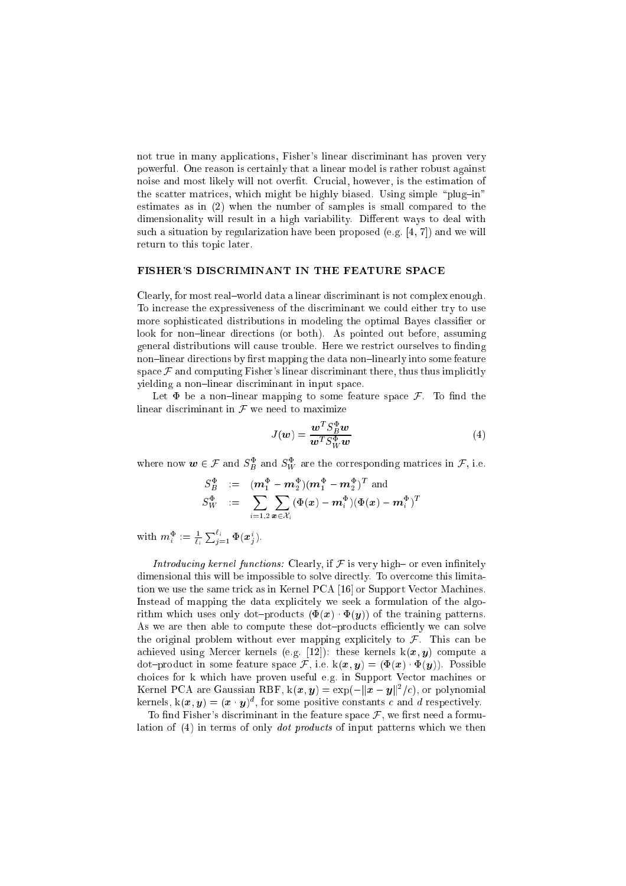not true in many applications, Fisher's linear discriminant has proven very powerful. One reason is ertainly that a linear model is rather robust against noise and most likely will not overfit. Crucial, however, is the estimation of the scatter matrices, which might be highly biased. Using simple "plug-in" estimates as in (2) when the number of samples is small ompared to the dimensionality will result in a high variability. Different ways to deal with such a situation by regularization have been proposed (e.g.  $[4, 7]$ ) and we will return to this topi later.

#### FISHER'S DISCRIMINANT IN THE FEATURE SPACE

Clearly, for most real-world data a linear discriminant is not complex enough. To increase the expressiveness of the discriminant we could either try to use more sophisticated distributions in modeling the optimal Bayes classifier or look for non-linear directions (or both). As pointed out before, assuming general distributions will ause trouble. Here we restri
t ourselves to nding non-linear directions by first mapping the data non-linearly into some feature space  $\mathcal F$  and computing Fisher's linear discriminant there, thus thus implicitly yielding a non-linear discriminant in input space.

Let  $\Phi$  be a non-linear mapping to some feature space  $\mathcal{F}$ . To find the linear discriminant in  $\mathcal F$  we need to maximize

$$
J(w) = \frac{w^T S_B^{\Phi} w}{w^T S_W^{\Phi} w} \tag{4}
$$

where now  $w \in \mathcal{F}$  and  $\mathcal{F}_{B}$  and  $\mathcal{F}_{W}$  are the corresponding matrices in  $\mathcal{F}$ , i.e.

$$
\begin{array}{rcl} S^{\Phi}_{B} & := & (m^{\Phi}_{1}-m^{\Phi}_{2})(m^{\Phi}_{1}-m^{\Phi}_{2})^{T} \,\, \textrm{and} \\ S^{\Phi}_{W} & := & \displaystyle \sum_{i=1,2} \displaystyle \sum_{\boldsymbol{x} \in \mathcal{X}_{i}} (\Phi(\boldsymbol{x})-m^{\Phi}_{i})(\Phi(\boldsymbol{x})-m^{\Phi}_{i})^{T} \end{array}
$$

with  $m_i := \frac{1}{\ell_i}$  $\sum_{i=1}^{t_i} \Phi(x_i^i)$ .

Introducing kernel functions: Clearly, if  $\mathcal F$  is very high-or even infinitely dimensional this will be impossible to solve directly. To overcome this limitation we use the same trick as in Kernel PCA [16] or Support Vector Machines. Instead of mapping the data explicitely we seek a formulation of the algorithm which uses only dot-products  $(\Phi(x) \cdot \Phi(y))$  of the training patterns. As we are then able to compute these dot-products efficiently we can solve the original problem without ever mapping explicitely to  $\mathcal{F}$ . This can be achieved using Mercer kernels (e.g. [12]): these kernels  $k(x, y)$  compute a dot-product in some feature space F, i.e.  $k(x, y) = (\Phi(x) \cdot \Phi(y))$ . Possible hoi
es for k whi
h have proven useful e.g. in Support Ve
tor ma
hines or Kernel PCA are Gaussian RDF,  $k(x, y) = \exp(-||x - y|| / C)$ , or polynomial kernels,  $\kappa(x, y) = (x \ y)$ , for some positive constants c and a respectively.

To find Fisher's discriminant in the feature space  $\mathcal{F}$ , we first need a formulation of  $(4)$  in terms of only *dot products* of input patterns which we then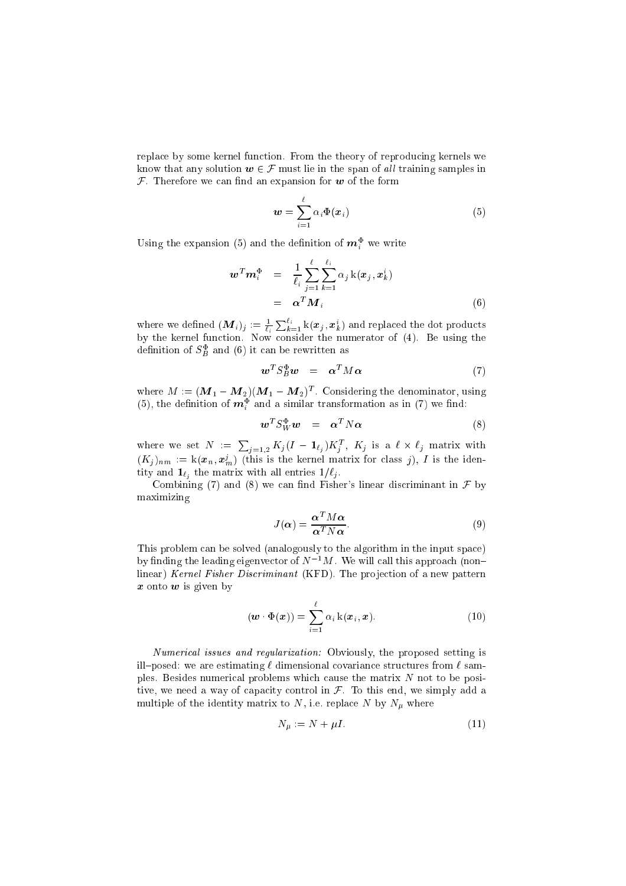replace by some kernel function. From the theory of reproducing kernels we know that any solution  $w \in \mathcal{F}$  must lie in the span of all training samples in  $\mathcal F$ . Therefore we can find an expansion for  $w$  of the form

$$
\boldsymbol{w} = \sum_{i=1}^{\ell} \alpha_i \Phi(\boldsymbol{x}_i)
$$
 (5)

Using the expansion (5) and the definition of  $m_i$  we write

$$
\boldsymbol{w}^T \boldsymbol{m}_i^{\Phi} = \frac{1}{\ell_i} \sum_{j=1}^{\ell} \sum_{k=1}^{\ell_i} \alpha_j \, k(\boldsymbol{x}_j, \boldsymbol{x}_k^i)
$$

$$
= \alpha^T \boldsymbol{M}_i
$$
(6)

where we defined  $(M_i)_j := \frac{1}{\ell_i}$  $\sum_{k=1}^{t_i} k(x_j, x_k^i)$  and replaced the dot products  $\mathbf{f}$  the kernel function. Now the numerator of (4). Be using the numerator of (4). Be using the numerator of (4). definition of  $\sigma_B^+$  and (6) it can be rewritten as

$$
\boldsymbol{w}^T S_B^{\Phi} \boldsymbol{w} = \boldsymbol{\alpha}^T M \boldsymbol{\alpha} \tag{7}
$$

where  $M := (M_1 - M_2)(M_1 - M_2)$  Considering the denominator, using (5), the definition of  $m_i^{\perp}$  and a similar transformation as in (*i*) we find:

$$
\boldsymbol{w}^T S_W^{\Phi} \boldsymbol{w} = \boldsymbol{\alpha}^T N \boldsymbol{\alpha} \tag{8}
$$

where we set  $N := \sum_{j=1,2} K_j (I - \mathbf{1}_{\ell_j}) K_j^T$ ,  $K_j$  is a  $\ell \times \ell_j$  matrix with  $(\Lambda_j)_{nm} := \kappa(x_n, x_m^j)$  (this is the kernel matrix for class *J*), *I* is the identity and  $\mathbf{1}_{\ell_j}$  the matrix with all entries  $1/\ell_j$ .

Combining (7) and (8) we can find Fisher's linear discriminant in  $\mathcal F$  by maximizing

$$
J(\alpha) = \frac{\alpha^T M \alpha}{\alpha^T N \alpha}.
$$
\n(9)

This problem can be solved (analogously to the algorithm in the input space) by finding the leading eigenvector of  $N^{-1}M$ . We will call this approach (nonlinear) Kernel Fisher Discriminant (KFD). The projection of a new pattern x onto  $w$  is given by

$$
(\boldsymbol{w} \cdot \boldsymbol{\Phi}(\boldsymbol{x})) = \sum_{i=1}^{\ell} \alpha_i \mathbf{k}(\boldsymbol{x}_i, \boldsymbol{x}). \tag{10}
$$

Numerical issues and regularization: Obviously, the proposed setting is ill-posed: we are estimating  $\ell$  dimensional covariance structures from  $\ell$  samples. Besides numeri
al problems whi
h ause the matrix <sup>N</sup> not to be positive, we need a way of capacity control in  $F$ . To this end, we simply add a multiple of the identity matrix to N, i.e. replace N by  $N_{\mu}$  where

$$
N_{\mu} := N + \mu I. \tag{11}
$$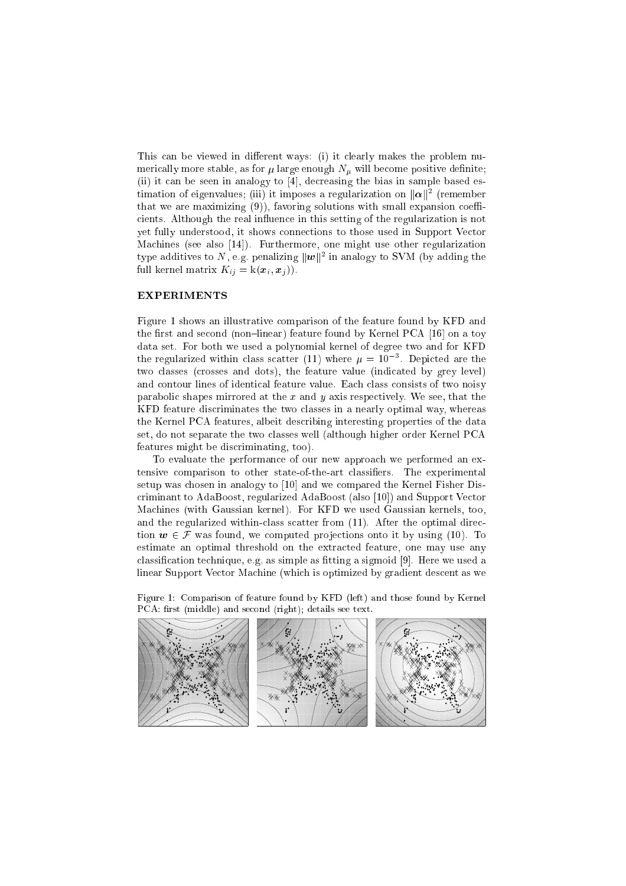This can be viewed in different ways: (i) it clearly makes the problem numerically more stable, as for  $\mu$  large enough  $N_{\mu}$  will become positive definite; (ii) it can be seen in analogy to  $[4]$ , decreasing the bias in sample based es $t$ imation of eigenvalues; (iii) it imposes a regularization on  $||\alpha||$  (remember that we are maximizing  $(9)$ , favoring solutions with small expansion coefficients. Although the real influence in this setting of the regularization is not yet fully understood, it shows onne
tions to those used in Support Ve
tor Machines (see also [14]). Furthermore, one might use other regularization type additives to TV, e.g. penalizing  $||\boldsymbol{w}||$  and analogy to SVM (by adding the full kernel matrix  $K_{ij} = k(x_i, x_j)$ .

# **EXPERIMENTS**

Figure 1 shows an illustrative omparison of the feature found by KFD and the first and second (non-linear) feature found by Kernel PCA [16] on a toy data set. For both we used a polynomial kernel of degree two and for KFD the regularized within class scatter (11) where  $\mu = 10^{-1}$ . Depicted are the two classes (crosses and dots), the feature value (indicated by grey level) and ontour lines of identi
al feature value. Ea
h lass onsists of two noisy parabolic shapes mirrored at the  $x$  and  $y$  axis respectively. We see, that the KFD feature dis
riminates the two lasses in a nearly optimal way, whereas the Kernel PCA features, albeit des
ribing interesting properties of the data set, do not separate the two classes well (although higher order Kernel PCA features might be dis
riminating, too).

To evaluate the performan
e of our new approa
h we performed an extensive omparison to other state-of-the-art lassiers. The experimental setup was chosen in analogy to [10] and we compared the Kernel Fisher Discriminant to AdaBoost, regularized AdaBoost (also [10]) and Support Vector Ma
hines (with Gaussian kernel). For KFD we used Gaussian kernels, too, and the regularized within-class scatter from (11). After the optimal direction  $w \in \mathcal{F}$  was found, we computed projections onto it by using (10). To estimate an optimal threshold on the extracted feature, one may use any classification technique, e.g. as simple as fitting a sigmoid [9]. Here we used a linear Support Ve
tor Ma
hine (whi
h is optimized by gradient des
ent as we

Figure 1: Comparison of feature found by KFD (left) and those found by Kernel PCA: first (middle) and second (right); details see text.

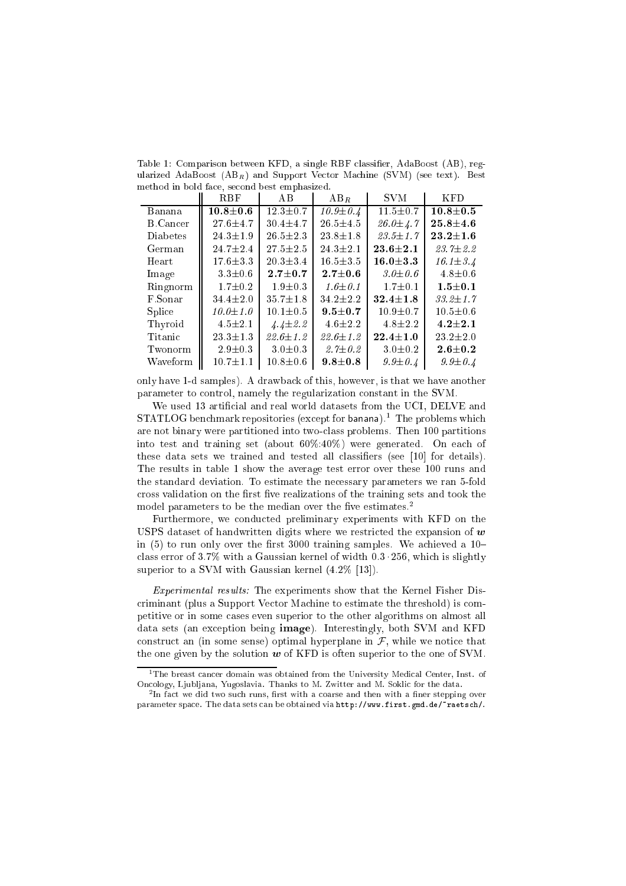Table 1: Comparison between KFD, a single RBF classifier, AdaBoost (AB), regularized AdaBoost  $(AB_R)$  and Support Vector Machine (SVM) (see text). Best method in bold face, second best emphasized.

|           | RBF            | AB             | $AB_B$         | <b>SVM</b>     | <b>KFD</b>        |
|-----------|----------------|----------------|----------------|----------------|-------------------|
| Banana    | $10.8 + 0.6$   | $12.3 \pm 0.7$ | $10.9 \pm 0.4$ | $11.5 \pm 0.7$ | $10.8 + 0.5$      |
| B. Cancer | $27.6 \pm 4.7$ | $30.4 \pm 4.7$ | $26.5 \pm 4.5$ | $26.0 \pm 4.7$ | $25.8 + 4.6$      |
| Diabetes  | $24.3 \pm 1.9$ | $26.5 \pm 2.3$ | $23.8 \pm 1.8$ | $23.5 \pm 1.7$ | $23.2 \pm 1.6$    |
| German    | $24.7 \pm 2.4$ | $27.5 \pm 2.5$ | $24.3 \pm 2.1$ | $23.6 \pm 2.1$ | $23.7 \pm 2.2$    |
| Heart     | $17.6 \pm 3.3$ | $20.3 \pm 3.4$ | $16.5 \pm 3.5$ | $16.0 \pm 3.3$ | 16.1 $\pm$ 3.4    |
| Image     | $3.3 \pm 0.6$  | $2.7 + 0.7$    | $2.7 + 0.6$    | 3.0 $\pm 0.6$  | $4.8 \pm 0.6$     |
| Ringnorm  | $1.7 \pm 0.2$  | $1.9 + 0.3$    | $1.6 \pm 0.1$  | $1.7 \pm 0.1$  | $1.5{\pm}0.1$     |
| F.Sonar   | $34.4 \pm 2.0$ | $35.7 \pm 1.8$ | 34.2 $\pm$ 2.2 | $32.4 \pm 1.8$ | $33.2 \pm 1.7$    |
| Splice    | $10.0 \pm 1.0$ | $10.1 \pm 0.5$ | $9.5 \pm 0.7$  | $10.9 \pm 0.7$ | $10.5 \pm 0.6$    |
| Thyroid   | $4.5 \pm 2.1$  | $4.4 \pm 2.2$  | $4.6 \pm 2.2$  | $4.8 \pm 2.2$  | $4.2 + 2.1$       |
| Titanic   | $23.3 \pm 1.3$ | $22.6 \pm 1.2$ | $22.6 \pm 1.2$ | $22.4 \pm 1.0$ | $23.2 \pm 2.0$    |
| Twonorm   | $2.9 \pm 0.3$  | $3.0 \pm 0.3$  | 2.7 $\pm$ 0.2  | $3.0 \pm 0.2$  | $2.6 \!\pm\! 0.2$ |
| Waveform  | $10.7 \pm 1.1$ | $10.8 \pm 0.6$ | $9.8 + 0.8$    | $9.9 \pm 0.4$  | $9.9 \pm 0.4$     |

only have 1-d samples). A drawback of this, however, is that we have another parameter to control, namely the regularization constant in the SVM.

We used 13 artificial and real world datasets from the UCI, DELVE and STATLOG benchmark repositories (except for banana).<sup>1</sup> The problems which are not binary were partitioned into two-class problems. Then 100 partitions into test and training set (about  $60\%:40\%$ ) were generated. On each of these data sets we trained and tested all classifiers (see [10] for details). The results in table 1 show the average test error over these 100 runs and the standard deviation. To estimate the necessary parameters we ran 5-fold cross validation on the first five realizations of the training sets and took the model parameters to be the median over the five estimates.<sup>2</sup>

Furthermore, we conducted preliminary experiments with KFD on the USPS dataset of handwritten digits where we restricted the expansion of  $w$ in  $(5)$  to run only over the first 3000 training samples. We achieved a 10class error of 3.7% with a Gaussian kernel of width  $0.3 \cdot 256$ , which is slightly superior to a SVM with Gaussian kernel  $(4.2\%$  [13]).

*Experimental results:* The experiments show that the Kernel Fisher Discriminant (plus a Support Vector Machine to estimate the threshold) is competitive or in some cases even superior to the other algorithms on almost all data sets (an exception being **image**). Interestingly, both SVM and KFD construct an (in some sense) optimal hyperplane in  $\mathcal F$ , while we notice that the one given by the solution  $w$  of KFD is often superior to the one of SVM.

 $^1$ The breast cancer domain was obtained from the University Medical Center, Inst. of Oncology, Ljubljana, Yugoslavia. Thanks to M. Zwitter and M. Soklic for the data.

 $^{2}$ In fact we did two such runs, first with a coarse and then with a finer stepping over parameter space. The data sets can be obtained via http://www.first.gmd.de/~raetsch/.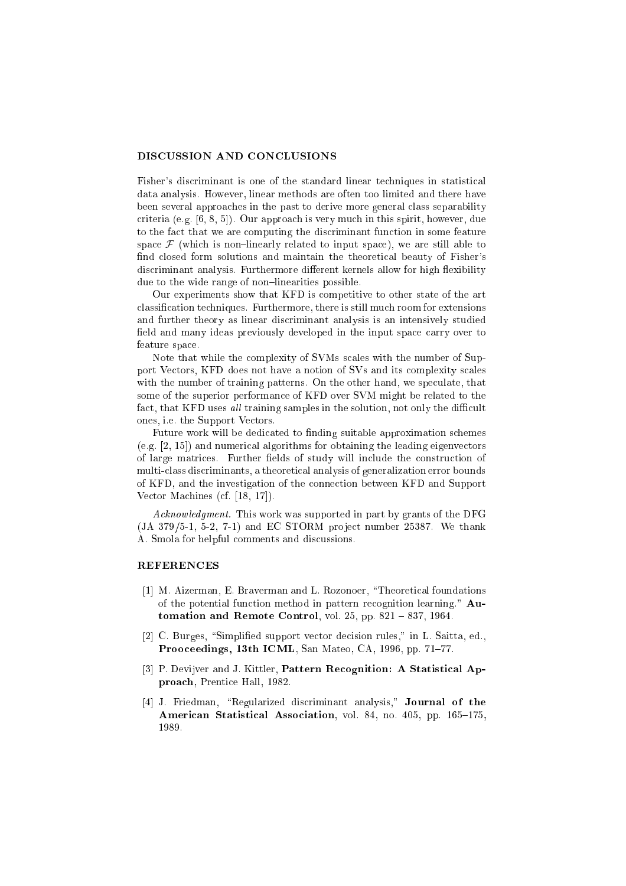# DISCUSSION AND CONCLUSIONS

Fisher's discriminant is one of the standard linear techniques in statistical data analysis. However, linear methods are often too limited and there have been several approaches in the past to derive more general class separability criteria (e.g. [6, 8, 5]). Our approach is very much in this spirit, however, due to the fact that we are computing the discriminant function in some feature space  $\mathcal F$  (which is non-linearly related to input space), we are still able to find closed form solutions and maintain the theoretical beauty of Fisher's discriminant analysis. Furthermore different kernels allow for high flexibility due to the wide range of non-linearities possible.

Our experiments show that KFD is ompetitive to other state of the art classification techniques. Furthermore, there is still much room for extensions and further theory as linear dis
riminant analysis is an intensively studied field and many ideas previously developed in the input space carry over to feature spa
e.

Note that while the omplexity of SVMs s
ales with the number of Support Vectors, KFD does not have a notion of SVs and its complexity scales with the number of training patterns. On the other hand, we speculate, that some of the superior performan
e of KFD over SVM might be related to the fact, that KFD uses all training samples in the solution, not only the difficult ones, i.e. the Support Ve
tors.

Future work will be dedicated to finding suitable approximation schemes  $(e.g. [2, 15])$  and numerical algorithms for obtaining the leading eigenvectors of large matrices. Further fields of study will include the construction of multilass dis
riminants, a theoreti
al analysis of generalization error bounds of KFD, and the investigation of the onne
tion between KFD and Support Vector Machines (cf.  $[18, 17]$ ).

Acknowledgment. This work was supported in part by grants of the DFG  $(JA 379/5-1, 5-2, 7-1)$  and  $EC STORM$  project number 25387. We thank A. Smola for helpful omments and dis
ussions.

### **REFERENCES**

- [1] M. Aizerman, E. Braverman and L. Rozonoer, "Theoretical foundations of the potential function method in pattern recognition learning." Automation and Remote Control, vol. 25, pp. 821  $-$  837, 1964.
- [2] C. Burges, "Simplified support vector decision rules," in L. Saitta, ed., Prooceedings, 13th ICML, San Mateo, CA, 1996, pp. 71-77.
- [3] P. Devijver and J. Kittler, Pattern Recognition: A Statistical Approa
h, Prenti
e Hall, 1982.
- [4] J. Friedman, "Regularized discriminant analysis," Journal of the American Statistical Association, vol. 84, no. 405, pp. 165-175, 1989.